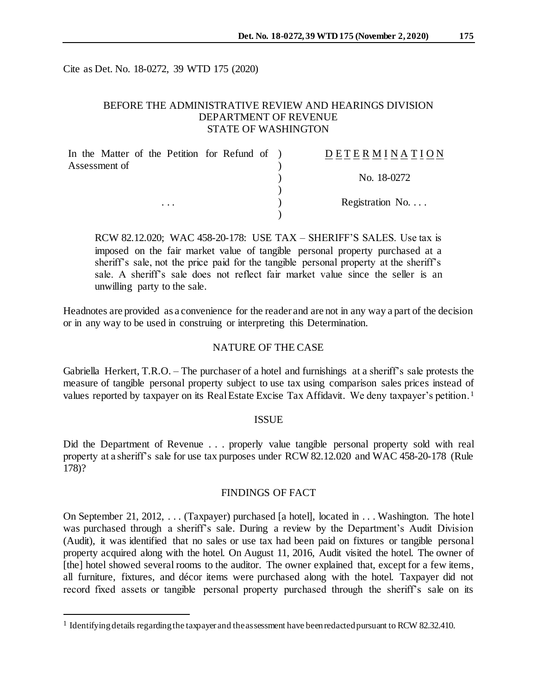Cite as Det. No. 18-0272, 39 WTD 175 (2020)

# BEFORE THE ADMINISTRATIVE REVIEW AND HEARINGS DIVISION DEPARTMENT OF REVENUE STATE OF WASHINGTON

| In the Matter of the Petition for Refund of ) |          |  |  | DETERMINATION            |
|-----------------------------------------------|----------|--|--|--------------------------|
| Assessment of                                 |          |  |  |                          |
|                                               |          |  |  | No. 18-0272              |
|                                               |          |  |  |                          |
|                                               | $\cdots$ |  |  | Registration No. $\dots$ |
|                                               |          |  |  |                          |

RCW 82.12.020; WAC 458-20-178: USE TAX – SHERIFF'S SALES. Use tax is imposed on the fair market value of tangible personal property purchased at a sheriff's sale, not the price paid for the tangible personal property at the sheriff's sale. A sheriff's sale does not reflect fair market value since the seller is an unwilling party to the sale.

Headnotes are provided as a convenience for the reader and are not in any way a part of the decision or in any way to be used in construing or interpreting this Determination.

## NATURE OF THE CASE

Gabriella Herkert, T.R.O. – The purchaser of a hotel and furnishings at a sheriff's sale protests the measure of tangible personal property subject to use tax using comparison sales prices instead of values reported by taxpayer on its Real Estate Excise Tax Affidavit. We deny taxpayer's petition. <sup>1</sup>

## ISSUE

Did the Department of Revenue . . . properly value tangible personal property sold with real property at a sheriff's sale for use tax purposes under RCW 82.12.020 and WAC 458-20-178 (Rule 178)?

## FINDINGS OF FACT

On September 21, 2012, . . . (Taxpayer) purchased [a hotel], located in . . . Washington. The hotel was purchased through a sheriff's sale. During a review by the Department's Audit Division (Audit), it was identified that no sales or use tax had been paid on fixtures or tangible personal property acquired along with the hotel. On August 11, 2016, Audit visited the hotel. The owner of [the] hotel showed several rooms to the auditor. The owner explained that, except for a few items, all furniture, fixtures, and décor items were purchased along with the hotel. Taxpayer did not record fixed assets or tangible personal property purchased through the sheriff's sale on its

l

<sup>&</sup>lt;sup>1</sup> Identifying details regarding the taxpayer and the assessment have been redacted pursuant to RCW 82.32.410.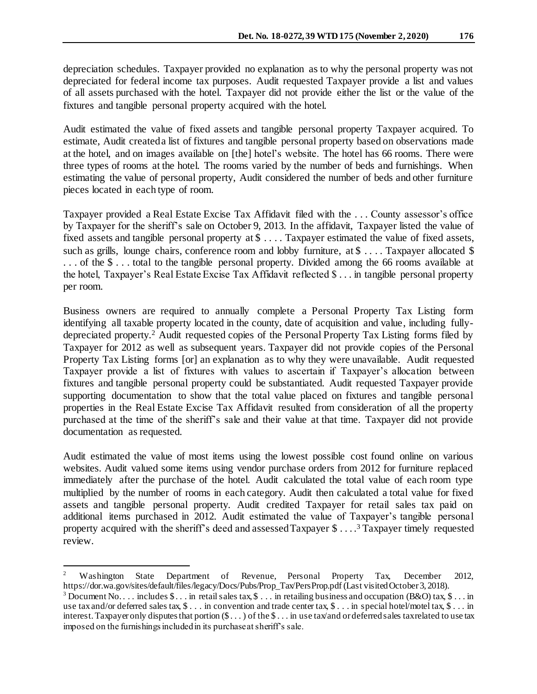depreciation schedules. Taxpayer provided no explanation as to why the personal property was not depreciated for federal income tax purposes. Audit requested Taxpayer provide a list and values of all assets purchased with the hotel. Taxpayer did not provide either the list or the value of the fixtures and tangible personal property acquired with the hotel.

Audit estimated the value of fixed assets and tangible personal property Taxpayer acquired. To estimate, Audit created a list of fixtures and tangible personal property based on observations made at the hotel, and on images available on [the] hotel's website. The hotel has 66 rooms. There were three types of rooms at the hotel. The rooms varied by the number of beds and furnishings. When estimating the value of personal property, Audit considered the number of beds and other furniture pieces located in each type of room.

Taxpayer provided a Real Estate Excise Tax Affidavit filed with the . . . County assessor's office by Taxpayer for the sheriff's sale on October 9, 2013. In the affidavit, Taxpayer listed the value of fixed assets and tangible personal property at \$ . . . . Taxpayer estimated the value of fixed assets, such as grills, lounge chairs, conference room and lobby furniture, at \$ ... Taxpayer allocated \$ . . . of the \$ . . . total to the tangible personal property. Divided among the 66 rooms available at the hotel, Taxpayer's Real Estate Excise Tax Affidavit reflected \$ . . . in tangible personal property per room.

Business owners are required to annually complete a Personal Property Tax Listing form identifying all taxable property located in the county, date of acquisition and value, including fullydepreciated property.<sup>2</sup> Audit requested copies of the Personal Property Tax Listing forms filed by Taxpayer for 2012 as well as subsequent years. Taxpayer did not provide copies of the Personal Property Tax Listing forms [or] an explanation as to why they were unavailable. Audit requested Taxpayer provide a list of fixtures with values to ascertain if Taxpayer's allocation between fixtures and tangible personal property could be substantiated. Audit requested Taxpayer provide supporting documentation to show that the total value placed on fixtures and tangible personal properties in the Real Estate Excise Tax Affidavit resulted from consideration of all the property purchased at the time of the sheriff's sale and their value at that time. Taxpayer did not provide documentation as requested.

Audit estimated the value of most items using the lowest possible cost found online on various websites. Audit valued some items using vendor purchase orders from 2012 for furniture replaced immediately after the purchase of the hotel. Audit calculated the total value of each room type multiplied by the number of rooms in each category. Audit then calculated a total value for fixed assets and tangible personal property. Audit credited Taxpayer for retail sales tax paid on additional items purchased in 2012. Audit estimated the value of Taxpayer's tangible personal property acquired with the sheriff's deed and assessed Taxpayer \$ . . . .<sup>3</sup> Taxpayer timely requested review.

j

<sup>&</sup>lt;sup>2</sup> Washington State Department of Revenue, Personal Property Tax, December 2012, https://dor.wa.gov/sites/default/files/legacy/Docs/Pubs/Prop\_Tax/PersProp.pdf (Last visited October 3, 2018).

<sup>&</sup>lt;sup>3</sup> Document No... includes  $\$\dots$  in retail sales tax,  $\$\dots$  in retailing business and occupation (B&O) tax,  $\$\dots$  in use tax and/or deferred sales tax, \$ . . . in convention and trade center tax, \$ . . . in special hotel/motel tax, \$ . . . in interest.Taxpayer only disputes that portion (\$ . . . ) of the \$ . . . in use tax/and or deferred sales tax related to use tax imposed on the furnishings included in its purchase at sheriff's sale.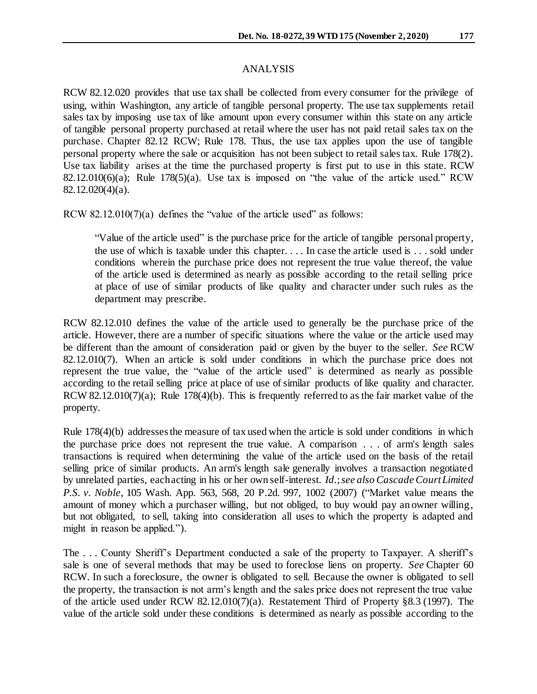## ANALYSIS

RCW 82.12.020 provides that use tax shall be collected from every consumer for the privilege of using, within Washington, any article of tangible personal property. The use tax supplements retail sales tax by imposing use tax of like amount upon every consumer within this state on any article of tangible personal property purchased at retail where the user has not paid retail sales tax on the purchase. Chapter 82.12 RCW; Rule 178. Thus, the use tax applies upon the use of tangible personal property where the sale or acquisition has not been subject to retail sales tax. Rule 178(2). Use tax liability arises at the time the purchased property is first put to use in this state. RCW 82.12.010(6)(a); Rule 178(5)(a). Use tax is imposed on "the value of the article used." RCW 82.12.020(4)(a).

RCW 82.12.010(7)(a) defines the "value of the article used" as follows:

"Value of the article used" is the purchase price for the article of tangible personal property, the use of which is taxable under this chapter. . . . In case the article used is . . . sold under conditions wherein the purchase price does not represent the true value thereof, the value of the article used is determined as nearly as possible according to the retail selling price at place of use of similar products of like quality and character under such rules as the department may prescribe.

RCW 82.12.010 defines the value of the article used to generally be the purchase price of the article. However, there are a number of specific situations where the value or the article used may be different than the amount of consideration paid or given by the buyer to the seller. *See* RCW 82.12.010(7). When an article is sold under conditions in which the purchase price does not represent the true value, the "value of the article used" is determined as nearly as possible according to the retail selling price at place of use of similar products of like quality and character. RCW [82.12.010\(7](http://app.leg.wa.gov/RCW/default.aspx?cite=82.12.010))(a); Rule 178(4)(b). This is frequently referred to as the fair market value of the property.

Rule 178(4)(b) addresses the measure of tax used when the article is sold under conditions in which the purchase price does not represent the true value. A comparison . . . of arm's length sales transactions is required when determining the value of the article used on the basis of the retail selling price of similar products. An arm's length sale generally involves a transaction negotiated by unrelated parties, each acting in his or her own self-interest. *Id.*; *see also Cascade Court Limited P.S. v. Noble*, 105 Wash. App. 563, 568, 20 P.2d. 997, 1002 (2007) ("Market value means the amount of money which a purchaser willing, but not obliged, to buy would pay an owner willing, but not obligated, to sell, taking into consideration all uses to which the property is adapted and might in reason be applied.").

The . . . County Sheriff's Department conducted a sale of the property to Taxpayer. A sheriff's sale is one of several methods that may be used to foreclose liens on property. *See* Chapter 60 RCW. In such a foreclosure, the owner is obligated to sell. Because the owner is obligated to sell the property, the transaction is not arm's length and the sales price does not represent the true value of the article used under RCW [82.12.010\(7](http://app.leg.wa.gov/RCW/default.aspx?cite=82.12.010))(a). Restatement Third of Property §8.3 (1997). The value of the article sold under these conditions is determined as nearly as possible according to the